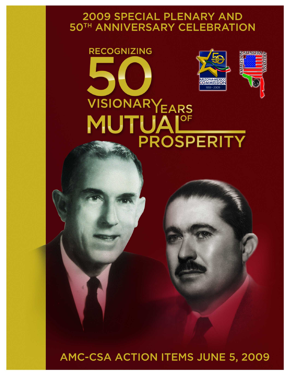# 2009 SPECIAL PLENARY AND 50TH ANNIVERSARY CELEBRATION

# **RECOGNIZING** Z SONORA E **DOMI ARIZONA-MEXICO** 1959 - 2009 VISIONARYEARS TUAIOF PROSPERITY

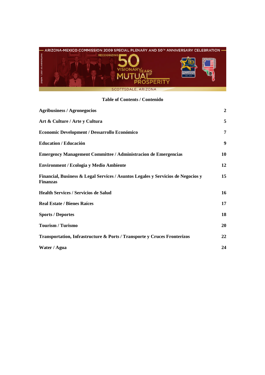

# **Table of Contents / Contenido**

| <b>Agribusiness / Agronegocios</b>                                                                  | $\overline{2}$ |
|-----------------------------------------------------------------------------------------------------|----------------|
| Art & Culture / Arte y Cultura                                                                      | 5              |
| Economic Development / Dessarrollo Económico                                                        | 7              |
| <b>Education / Educación</b>                                                                        | 9              |
| <b>Emergency Management Committee / Administracion de Emergencias</b>                               | 10             |
| <b>Environment / Ecologia y Medio Ambiente</b>                                                      | 12             |
| Financial, Business & Legal Services / Asuntos Legales y Servicios de Negocios y<br><b>Finanzas</b> | 15             |
| <b>Health Services / Servicios de Salud</b>                                                         | 16             |
| <b>Real Estate / Bienes Raíces</b>                                                                  | 17             |
| <b>Sports / Deportes</b>                                                                            | 18             |
| <b>Tourism / Turismo</b>                                                                            | 20             |
| Transportation, Infrastructure & Ports / Transporte y Cruces Fronterizos                            | 22             |
| Water / Agua                                                                                        | 24             |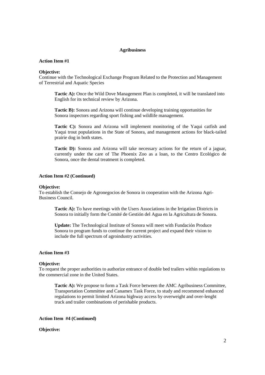### **Agribusiness**

# **Action Item #1**

### **Objective:**

Continue with the Technological Exchange Program Related to the Protection and Management of Terrestrial and Aquatic Species

Tactic A): Once the Wild Dove Management Plan is completed, it will be translated into English for its technical review by Arizona.

**Tactic B):** Sonora and Arizona will continue developing training opportunities for Sonora inspectors regarding sport fishing and wildlife management.

**Tactic C):** Sonora and Arizona will implement monitoring of the Yaqui catfish and Yaqui trout populations in the State of Sonora, and management actions for black-tailed prairie dog in both states.

**Tactic D):** Sonora and Arizona will take necessary actions for the return of a jaguar, currently under the care of The Phoenix Zoo as a loan, to the Centro Ecológico de Sonora, once the dental treatment is completed.

### **Action Item #2 (Continued)**

### **Objective:**

To establish the Consejo de Agronegocios de Sonora in cooperation with the Arizona Agri-Business Council.

**Tactic A):** To have meetings with the Users Associations in the Irrigation Districts in Sonora to initially form the Comité de Gestión del Agua en la Agricultura de Sonora.

**Update:** The Technological Institute of Sonora will meet with Fundación Produce Sonora to program funds to continue the current project and expand their vision to include the full spectrum of agroindustry activities.

# **Action Item #3**

### **Objective:**

To request the proper authorities to authorize entrance of double bed trailers within regulations to the commercial zone in the United States.

**Tactic A):** We propose to form a Task Force between the AMC Agribusiness Committee, Transportation Committee and Canamex Task Force, to study and recommend enhanced regulations to permit limited Arizona highway access by overweight and over-lenght truck and trailer combinations of perishable products.

### **Action Item #4 (Continued)**

# **Objective:**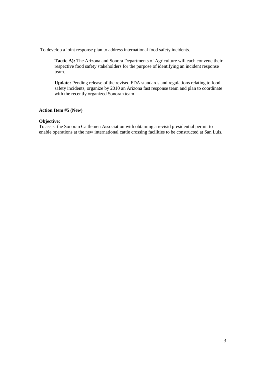To develop a joint response plan to address international food safety incidents.

**Tactic A):** The Arizona and Sonora Departments of Agriculture will each convene their respective food safety stakeholders for the purpose of identifying an incident response team.

**Update:** Pending release of the revised FDA standards and regulations relating to food safety incidents, organize by 2010 an Arizona fast response team and plan to coordinate with the recently organized Sonoran team

# **Action Item #5 (New)**

# **Objective:**

To assist the Sonoran Cattlemen Association with obtaining a revisid presidential permit to enable operations at the new international cattle crossing facilities to be constructed at San Luis.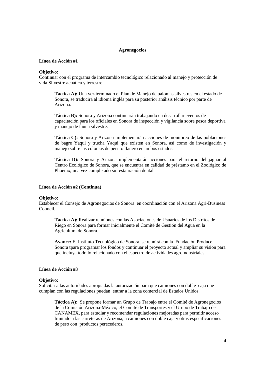### **Agronegocios**

# **Línea de Acción #1**

### **Objetivo:**

Continuar con el programa de intercambio tecnológico relacionado al manejo y protección de vida Silvestre acuática y terrestre.

**Táctica A):** Una vez terminado el Plan de Manejo de palomas silvestres en el estado de Sonora, se traducirá al idioma inglés para su posterior análisis técnico por parte de Arizona.

**Táctica B):** Sonora y Arizona continuarán trabajando en desarrollar eventos de capacitación para los oficiales en Sonora de inspección y vigilancia sobre pesca deportiva y manejo de fauna silvestre.

**Táctica C):** Sonora y Arizona implementarán acciones de monitoreo de las poblaciones de bagre Yaqui y trucha Yaqui que existen en Sonora, así como de investigación y manejo sobre las colonias de perrito llanero en ambos estados.

**Táctica D):** Sonora y Arizona implementarán acciones para el retorno del jaguar al Centro Ecológico de Sonora, que se encuentra en calidad de préstamo en el Zoológico de Phoenix, una vez completado su restauración dental.

### **Línea de Acción #2 (Continua)**

### **Objetivo:**

Establecer el Consejo de Agronegocios de Sonora en coordinación con el Arizona Agri-Business Council.

**Táctica A):** Realizar reuniones con las Asociaciones de Usuarios de los Distritos de Riego en Sonora para formar inicialmente el Comité de Gestión del Agua en la Agricultura de Sonora.

**Avance:** El Instituto Tecnológico de Sonora se reunirá con la Fundación Produce Sonora tpara programar los fondos y continuar el proyecto actual y ampliar su visión para que incluya todo lo relacionado con el espectro de actividades agroindustriales.

# **Línea de Acción #3**

# **Objetivo:**

Solicitar a las autoridades apropiadas la autorización para que camiones con doble caja que cumplan con las regulaciones puedan entrar a la zona comercial de Estados Unidos.

**Táctica A):** Se propone formar un Grupo de Trabajo entre el Comité de Agronegocios de la Comisión Arizona-México, el Comité de Transportes y el Grupo de Trabajo de CANAMEX, para estudiar y recomendar regulaciones mejoradas para permitir acceso limitado a las carreteras de Arizona, a camiones con doble caja y otras especificaciones de peso con productos perecederos.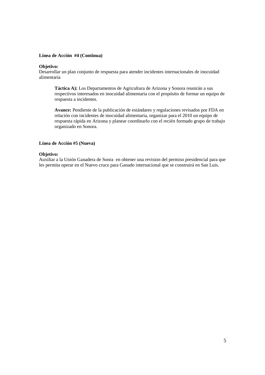# **Línea de Acción #4 (Continua)**

# **Objetivo:**

Desarrollar un plan conjunto de respuesta para atender incidentes internacionales de inocuidad alimentaria

**Táctica A):** Los Departamentos de Agricultura de Arizona y Sonora reunirán a sus respectivos interesados en inocuidad alimentaria con el propósito de formar un equipo de respuesta a incidentes.

**Avance:** Pendiente de la publicación de estándares y regulaciones revisados por FDA en relación con incidentes de inocuidad alimentaria, organizar para el 2010 un equipo de respuesta rápida en Arizona y planear coordinarlo con el recién formado grupo de trabajo organizado en Sonora.

# **Línea de Acción #5 (Nueva)**

# **Objetivo:**

Auxiliar a la Unión Ganadera de Sonra en obtener una revision del permiso presidencial para que les permita operar en el Nuevo cruce para Ganado internacional que se construirá en San Luis.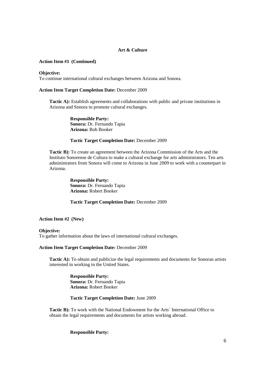# **Art & Culture**

# **Action Item #1 (Continued)**

### **Objective:**

To continue international cultural exchanges between Arizona and Sonora.

# **Action Item Target Completion Date:** December 2009

**Tactic A):** Establish agreements and collaborations with public and private institutions in Arizona and Sonora to promote cultural exchanges.

> **Responsible Party: Sonora:** Dr. Fernando Tapia **Arizona:** Bob Booker

# **Tactic Target Completion Date:** December 2009

**Tactic B):** To create an agreement between the Arizona Commission of the Arts and the Instituto Sonorense de Cultura to make a cultural exchange for arts administrators. Ten arts administrators from Sonora will come to Arizona in June 2009 to work with a counterpart in Arizona.

> **Responsible Party: Sonora:** Dr. Fernando Tapia **Arizona:** Robert Booker

### **Tactic Target Completion Date:** December 2009

### **Action Item #2 (New)**

### **Objective:**

To gather information about the laws of international cultural exchanges.

### **Action Item Target Completion Date:** December 2009

**Tactic A):** To obtain and publicize the legal requirements and documents for Sonoran artists interested in working in the United States.

> **Responsible Party: Sonora:** Dr. Fernando Tapia **Arizona:** Robert Booker

### **Tactic Target Completion Date:** June 2009

**Tactic B):** To work with the National Endowment for the Arts´ International Office to obtain the legal requirements and documents for artists working abroad.

# **Responsible Party:**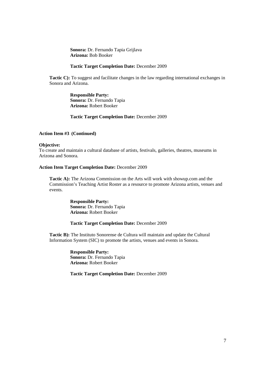**Sonora:** Dr. Fernando Tapia Grijlava **Arizona:** Bob Booker

# **Tactic Target Completion Date:** December 2009

**Tactic C):** To suggest and facilitate changes in the law regarding international exchanges in Sonora and Arizona.

> **Responsible Party: Sonora:** Dr. Fernando Tapia **Arizona:** Robert Booker

# **Tactic Target Completion Date:** December 2009

### **Action Item #3 (Continued)**

### **Objective:**

To create and maintain a cultural database of artists, festivals, galleries, theatres, museums in Arizona and Sonora.

### **Action Item Target Completion Date:** December 2009

**Tactic A):** The Arizona Commission on the Arts will work with showup.com and the Commission's Teaching Artist Roster as a resource to promote Arizona artists, venues and events.

> **Responsible Party: Sonora:** Dr. Fernando Tapia **Arizona:** Robert Booker

# **Tactic Target Completion Date:** December 2009

**Tactic B):** The Instituto Sonorense de Cultura will maintain and update the Cultural Information System (SIC) to promote the artists, venues and events in Sonora.

> **Responsible Party: Sonora:** Dr. Fernando Tapia **Arizona:** Robert Booker

**Tactic Target Completion Date:** December 2009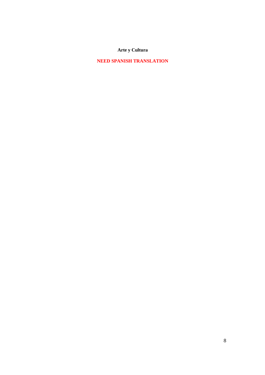**Arte y Cultura**

**NEED SPANISH TRANSLATION**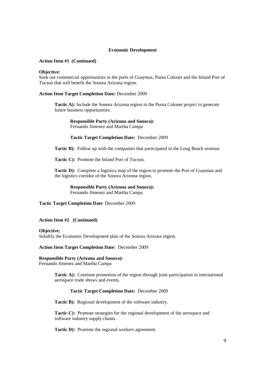### **Economic Development**

# **Action Item #1 (Continued)**

### **Objective:**

Seek out commercial opportunities in the ports of Guaymas, Punta Colonet and the Inland Port of Tucson that will benefit the Sonora Arizona region.

### **Action Item Target Completion Date:** December 2009

**Tactic A):** Include the Sonora Arizona region in the Punta Colonet project to generate future business opportunities.

**Responsible Party (Arizona and Sonora):** Fernando Jimenez and Martha Campa

### **Tactic Target Completion Date:** December 2009

**Tactic B):** Follow up with the companies that participated in the Long Beach seminar.

**Tactic C):** Promote the Inland Port of Tucson.

**Tactic D):** Complete a logistics map of the region to promote the Port of Guaymas and the logistics corridor of the Sonora Arizona region.

**Responsible Party (Arizona and Sonora):** Fernando Jimenez and Martha Campa

**Tactic Target Completion Date**: December 2009

**Action Item #2 (Continued)**

### **Objective:**

Solidify the Economic Development plan of the Sonora Arizona region.

**Action Item Target Completion Date:** December 2009

# **Responsible Party (Arizona and Sonora):**

Fernando Jimenez and Martha Campa

**Tactic A):** Continue promotion of the region through joint participation in international aerospace trade shows and events.

### **Tactic Target Completion Date:** December 2009

**Tactic B):** Regional development of the software industry.

**Tactic C):** Promote strategies for the regional development of the aerospace and software industry supply chains.

**Tactic D):** Promote the regional workers agreement.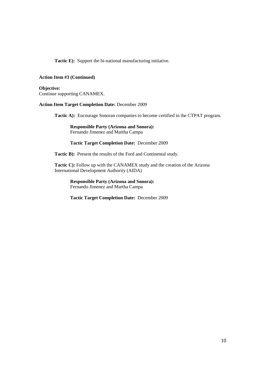**Tactic E):** Support the bi-national manufacturing initiative.

# **Action Item #3 (Continued)**

**Objective:** Continue supporting CANAMEX.

# **Action Item Target Completion Date:** December 2009

**Tactic A):** Encourage Sonoran companies to become certified in the CTPAT program.

**Responsible Party (Arizona and Sonora):** Fernando Jimenez and Martha Campa

**Tactic Target Completion Date:** December 2009

**Tactic B):** Present the results of the Ford and Continental study.

**Tactic C):** Follow up with the CANAMEX study and the creation of the Arizona International Development Authority (AIDA)

**Responsible Party (Arizona and Sonora):** Fernando Jimenez and Martha Campa

**Tactic Target Completion Date:** December 2009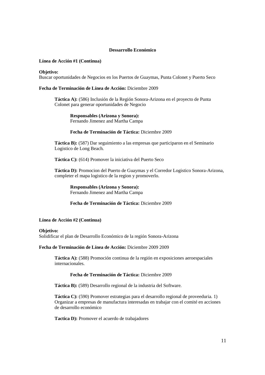# **Dessarrollo Económico**

# **Línea de Acción #1 (Continua)**

### **Objetivo:**

Buscar oportunidades de Negocios en los Puertos de Guaymas, Punta Colonet y Puerto Seco

# **Fecha de Terminación de Línea de Acción:** Diciembre 2009

**Táctica A):** (586) Inclusión de la Región Sonora-Arizona en el proyecto de Punta Colonet para generar oportunidades de Negocio

# **Responsables (Arizona y Sonora):**

Fernando Jimenez and Martha Campa

# **Fecha de Terminación de Táctica:** Diciembre 2009

**Táctica B):** (587) Dar seguimiento a las empresas que participaron en el Seminario Logistico de Long Beach.

**Táctica C):** (614) Promover la iniciativa del Puerto Seco

**Táctica D):** Promocion del Puerto de Guaymas y el Corredor Logistico Sonora-Arizona, completer el mapa logistico de la region y promoverlo.

**Responsables (Arizona y Sonora):** Fernando Jimenez and Martha Campa

**Fecha de Terminación de Táctica:** Diciembre 2009

# **Línea de Acción #2 (Continua)**

### **Objetivo:**

Solidificar el plan de Desarrollo Económico de la región Sonora-Arizona

# **Fecha de Terminación de Línea de Acción:** Diciembre 2009 2009

**Táctica A):** (588) Promoción continua de la región en exposiciones aeroespaciales internacionales.

# **Fecha de Terminación de Táctica:** Diciembre 2009

**Táctica B):** (589) Desarrollo regional de la industria del Software.

**Táctica C):** (590) Promover estrategias para el desarrollo regional de proveeduria. 1) Organizar a empresas de manufactura interesadas en trabajar con el comité en acciones de desarrollo económico

**Tactica D):** Promover el acuerdo de trabajadores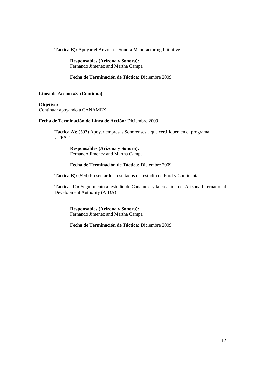**Tactica E):** Apoyar el Arizona – Sonora Manufacturing Initiative

**Responsables (Arizona y Sonora):** Fernando Jimenez and Martha Campa

**Fecha de Terminación de Táctica:** Diciembre 2009

**Línea de Acción #3 (Continua)**

**Objetivo:** Continuar apoyando a CANAMEX

# **Fecha de Terminación de Línea de Acción:** Diciembre 2009

**Táctica A):** (593) Apoyar empresas Sonorenses a que certifiquen en el programa CTPAT.

> **Responsables (Arizona y Sonora):** Fernando Jimenez and Martha Campa

**Fecha de Terminación de Táctica:** Diciembre 2009

**Táctica B):** (594) Presentar los resultados del estudio de Ford y Continental

**Tacticas C):** Seguimiento al estudio de Canamex, y la creacion del Arizona International Development Authority (AIDA)

**Responsables (Arizona y Sonora):** Fernando Jimenez and Martha Campa

**Fecha de Terminación de Táctica:** Diciembre 2009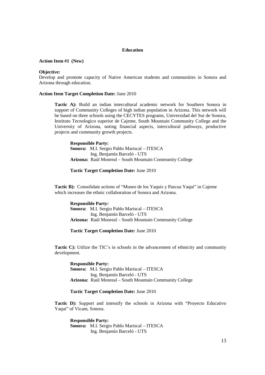### **Education**

# **Action Item #1 (New)**

### **Objective:**

Develop and promote capacity of Native American students and communities in Sonora and Arizona through education.

### **Action Item Target Completion Date:** June 2010

**Tactic A):** Build an indian intercultural academic network for Southern Sonora in support of Community Colleges of high indian population in Arizona. This network will be based on three schools using the CECYTES programs, Universidad del Sur de Sonora, Instituto Tecnologico superior de Cajeme, South Mountain Community College and the University of Arizona, noting financial aspects, intercultural pathways, productive projects and community growth projects.

**Responsible Party: Sonora:** M.I. Sergio Pablo Mariscal – ITESCA Ing. Benjamín Barceló - UTS **Arizona:** Raúl Monreal – South Mountain Community College

# **Tactic Target Completion Date:** June 2010

**Tactic B):** Consolidate actions of "Museo de los Yaquis y Pascua Yaqui" in Cajeme which increases the ethnic collaboration of Sonora and Arizona.

**Responsible Party: Sonora:** M.I. Sergio Pablo Mariscal – ITESCA Ing. Benjamín Barceló - UTS **Arizona:** Raúl Monreal – South Mountain Community College

### **Tactic Target Completion Date:** June 2010

**Tactic C):** Utilize the TIC's in schools in the advancement of ethnicity and community development.

**Responsible Party: Sonora:** M.I. Sergio Pablo Mariscal – ITESCA Ing. Benjamín Barceló - UTS **Arizona:** Raúl Monreal – South Mountain Community College

# **Tactic Target Completion Date:** June 2010

**Tactic D):** Support and intensify the schools in Arizona with "Proyecto Educativo" Yaqui" of Vicam, Sonora.

**Responsible Party: Sonora:** M.I. Sergio Pablo Mariscal – ITESCA Ing. Benjamín Barceló - UTS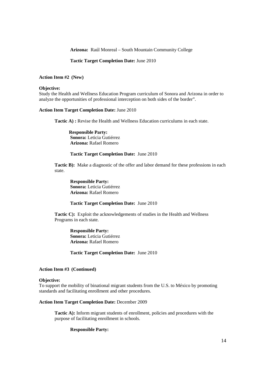**Arizona:** Raúl Monreal – South Mountain Community College

### **Tactic Target Completion Date:** June 2010

### **Action Item #2 (New)**

### **Objective:**

Study the Health and Wellness Education Program curriculum of Sonora and Arizona in order to analyze the opportunities of professional interception on both sides of the border".

### **Action Item Target Completion Date:** June 2010

**Tactic A) :** Revise the Health and Wellness Education curriculums in each state.

**Responsible Party: Sonora:** Leticia Gutiérrez **Arizona:** Rafael Romero

# **Tactic Target Completion Date:** June 2010

**Tactic B):** Make a diagnostic of the offer and labor demand for these professions in each state.

**Responsible Party: Sonora:** Leticia Gutiérrez **Arizona:** Rafael Romero

### **Tactic Target Completion Date:** June 2010

Tactic C): Exploit the acknowledgements of studies in the Health and Wellness Programs in each state.

> **Responsible Party: Sonora:** Leticia Gutiérrez **Arizona:** Rafael Romero

**Tactic Target Completion Date:** June 2010

### **Action Item #3 (Continued)**

# **Objective:**

To support the mobility of binational migrant students from the U.S. to México by promoting standards and facilitating enrollment and other procedures.

### **Action Item Target Completion Date:** December 2009

**Tactic A):** Inform migrant students of enrollment, policies and procedures with the purpose of facilitating enrollment in schools.

### **Responsible Party:**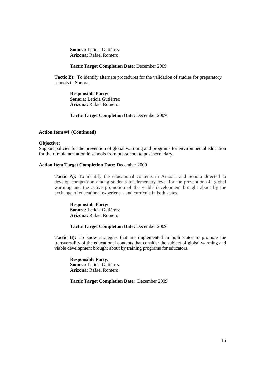**Sonora:** Leticia Gutiérrez **Arizona:** Rafael Romero

### **Tactic Target Completion Date:** December 2009

**Tactic B):** To identify alternate procedures for the validation of studies for preparatory schools in Sonora**.**

**Responsible Party: Sonora:** Leticia Gutiérrez **Arizona:** Rafael Romero

# **Tactic Target Completion Date:** December 2009

### **Action Item #4 (Continued)**

# **Objective:**

Support policies for the prevention of global warming and programs for environmental education for their implementation in schools from pre-school to post secondary.

### **Action Item Target Completion Date:** December 2009

**Tactic A):** To identify the educational contents in Arizona and Sonora directed to develop competition among students of elementary level for the prevention of global warming and the active promotion of the viable development brought about by the exchange of educational experiences and curricula in both states.

**Responsible Party: Sonora:** Leticia Gutiérrez **Arizona:** Rafael Romero

# **Tactic Target Completion Date:** December 2009

**Tactic B):** To know strategies that are implemented in both states to promote the transversality of the educational contents that consider the subject of global warming and viable development brought about by training programs for educators.

**Responsible Party: Sonora:** Leticia Gutiérrez **Arizona:** Rafael Romero

**Tactic Target Completion Date**: December 2009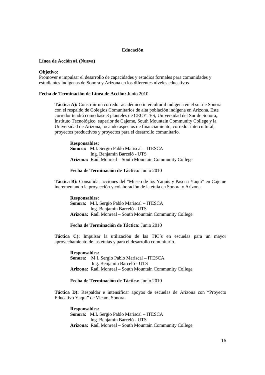### **Educación**

### **Línea de Acción #1 (Nueva)**

### **Objetivo:**

Promover e impulsar el desarrollo de capacidades y estudios formales para comunidades y estudiantes indígenas de Sonora y Arizona en los diferentes niveles educativos

# **Fecha de Terminación de Línea de Acción:** Junio 2010

**Táctica A):** Construir un corredor académico intercultural indígena en el sur de Sonora con el respaldo de Colegios Comunitarios de alta población indígena en Arizona. Este corredor tendrá como base 3 planteles de CECYTES, Universidad del Sur de Sonora, Instituto Tecnológico superior de Cajeme, South Mountain Community College y la Universidad de Arizona, tocando aspectos de financiamiento, corredor intercultural, proyectos productivos y proyectos para el desarrollo comunitario.

**Responsables: Sonora:** M.I. Sergio Pablo Mariscal – ITESCA Ing. Benjamín Barceló - UTS **Arizona:** Raúl Monreal – South Mountain Community College

# **Fecha de Terminación de Táctica:** Junio 2010

**Táctica B):** Consolidar acciones del "Museo de los Yaquis y Pascua Yaqui" en Cajeme incrementando la proyección y colaboración de la etnia en Sonora y Arizona.

**Responsables: Sonora:** M.I. Sergio Pablo Mariscal – ITESCA Ing. Benjamín Barceló - UTS **Arizona:** Raúl Monreal – South Mountain Community College

### **Fecha de Terminación de Táctica:** Junio 2010

**Táctica C):** Impulsar la utilización de las TIC´s en escuelas para un mayor aprovechamiento de las etnias y para el desarrollo comunitario.

**Responsables: Sonora:** M.I. Sergio Pablo Mariscal – ITESCA Ing. Benjamín Barceló - UTS **Arizona:** Raúl Monreal – South Mountain Community College

# **Fecha de Terminación de Táctica:** Junio 2010

**Táctica D):** Respaldar e intensificar apoyos de escuelas de Arizona con "Proyecto Educativo Yaqui" de Vicam, Sonora.

**Responsables: Sonora:** M.I. Sergio Pablo Mariscal – ITESCA Ing. Benjamín Barceló - UTS **Arizona:** Raúl Monreal – South Mountain Community College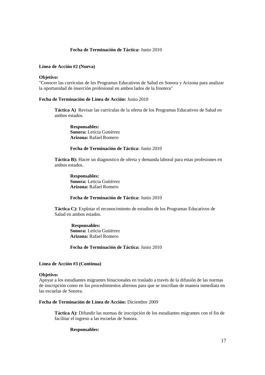# **Fecha de Terminación de Táctica:** Junio 2010

# **Línea de Acción #2 (Nueva)**

### **Objetivo:**

"Conocer las currículas de los Programas Educativos de Salud en Sonora y Arizona para analizar la oportunidad de inserción profesional en ambos lados de la frontera"

### **Fecha de Terminación de Línea de Acción:** Junio 2010

**Táctica A)** Revisar las currículas de la oferta de los Programas Educativos de Salud en ambos estados.

**Responsables: Sonora:** Leticia Gutiérrez **Arizona:** Rafael Romero

# **Fecha de Terminación de Táctica:** Junio 2010

**Táctica B):** Hacer un diagnostico de oferta y demanda laboral para estas profesiones en ambos estados.

**Responsables: Sonora:** Leticia Gutiérrez **Arizona:** Rafael Romero

# **Fecha de Terminación de Táctica:** Junio 2010

**Táctica C):** Explotar el reconocimiento de estudios de los Programas Educativos de Salud en ambos estados.

**Responsables: Sonora:** Leticia Gutiérrez **Arizona:** Rafael Romero

**Fecha de Terminación de Táctica:** Junio 2010

### **Línea de Acción #3 (Continua)**

### **Objetivo:**

Apoyar a los estudiantes migrantes binacionales en traslado a través de la difusión de las normas de inscripción como en los procedimientos alternos para que se inscriban de manera inmediata en las escuelas de Sonora.

# **Fecha de Terminación de Línea de Acción:** Diciembre 2009

**Táctica A):** Difundir las normas de inscripción de los estudiantes migrantes con el fin de facilitar el ingreso a las escuelas de Sonora.

### **Responsables:**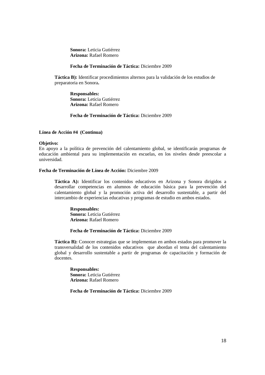**Sonora:** Leticia Gutiérrez **Arizona:** Rafael Romero

# **Fecha de Terminación de Táctica:** Diciembre 2009

**Táctica B):** Identificar procedimientos alternos para la validación de los estudios de preparatoria en Sonora**.**

**Responsables: Sonora:** Leticia Gutiérrez **Arizona:** Rafael Romero

# **Fecha de Terminación de Táctica:** Diciembre 2009

### **Línea de Acción #4 (Continua)**

# **Objetivo:**

En apoyo a la política de prevención del calentamiento global, se identificarán programas de educación ambiental para su implementación en escuelas, en los niveles desde preescolar a universidad.

# **Fecha de Terminación de Línea de Acción:** Diciembre 2009

**Táctica A):** Identificar los contenidos educativos en Arizona y Sonora dirigidos a desarrollar competencias en alumnos de educación básica para la prevención del calentamiento global y la promoción activa del desarrollo sustentable, a partir del intercambio de experiencias educativas y programas de estudio en ambos estados.

**Responsables: Sonora:** Leticia Gutiérrez **Arizona:** Rafael Romero

# **Fecha de Terminación de Táctica:** Diciembre 2009

**Táctica B):** Conocer estrategias que se implementan en ambos estados para promover la transversalidad de los contenidos educativos que abordan el tema del calentamiento global y desarrollo sustentable a partir de programas de capacitación y formación de docentes.

**Responsables: Sonora:** Leticia Gutiérrez **Arizona:** Rafael Romero

**Fecha de Terminación de Táctica:** Diciembre 2009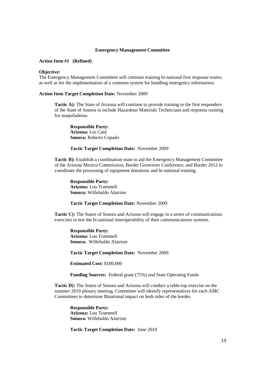### **Emergency Management Committee**

# **Action Item #1 (Refined)**

### **Objective:**

The Emergency Management Committee will continue training bi-national first response teams; as well as for the implementation of a common system for handling emergency information.

### **Action Item Target Completion Date:** November 2009

**Tactic A):** The State of Arizona will continue to provide training to the first responders of the State of Sonora to include Hazardous Materials Technicians and response training for maquiladoras.

**Responsible Party: Arizona:** Les Caid **Sonora:** Roberto Copado

# **Tactic Target Completion Date:** November 2009

**Tactic B):** Establish a coordination team to aid the Emergency Management Committee of the Arizona Mexico Commission, Border Governors Conference, and Border 2012 to coordinate the processing of equipment donations and bi-national training.

**Responsible Party: Arizona:** Lou Trammell **Sonora:** Willebaldo Alatriste

### **Tactic Target Completion Date:** November 2009

**Tactic C):** The States of Sonora and Arizona will engage in a series of communications exercises to test the bi-national interoperability of their communications systems.

**Responsible Party: Arizona:** Lou Trammell **Sonora:** Willebaldo Alatriste

**Tactic Target Completion Date:** November 2009

**Estimated Cost:** \$100,000

**Funding Sources:** Federal grant (75%) and State Operating Funds

**Tactic D):** The States of Sonora and Arizona will conduct a table-top exercise on the summer 2010 plenary meeting. Committee will identify representatives for each AMC Committees to determine Binational impact on both sides of the border.

**Responsible Party: Arizona:** Lou Trammell **Sonora:** Willebaldo Alatriste

**Tactic Target Completion Date:** June 2010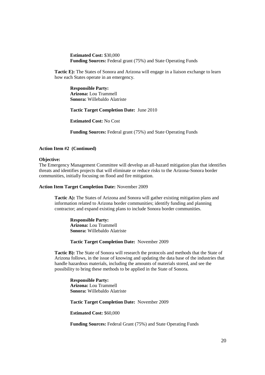**Estimated Cost:** \$30,000 **Funding Sources:** Federal grant (75%) and State Operating Funds

**Tactic E):** The States of Sonora and Arizona will engage in a liaison exchange to learn how each States operate in an emergency.

**Responsible Party: Arizona:** Lou Trammell **Sonora:** Willebaldo Alatriste

**Tactic Target Completion Date:** June 2010

**Estimated Cost:** No Cost

**Funding Sources:** Federal grant (75%) and State Operating Funds

# **Action Item #2 (Continued)**

### **Objective:**

The Emergency Management Committee will develop an all-hazard mitigation plan that identifies threats and identifies projects that will eliminate or reduce risks to the Arizona-Sonora border communities, initially focusing on flood and fire mitigation.

### **Action Item Target Completion Date:** November 2009

**Tactic A):** The States of Arizona and Sonora will gather existing mitigation plans and information related to Arizona border communities; identify funding and planning contractor; and expand existing plans to include Sonora border communities.

**Responsible Party: Arizona:** Lou Trammell **Sonora:** Willebaldo Alatriste

**Tactic Target Completion Date:** November 2009

**Tactic B):** The State of Sonora will research the protocols and methods that the State of Arizona follows, in the issue of knowing and updating the data base of the industries that handle hazardous materials, including the amounts of materials stored, and see the possibility to bring these methods to be applied in the State of Sonora.

**Responsible Party: Arizona:** Lou Trammell **Sonora:** Willebaldo Alatriste

**Tactic Target Completion Date:** November 2009

**Estimated Cost:** \$60,000

**Funding Sources:** Federal Grant (75%) and State Operating Funds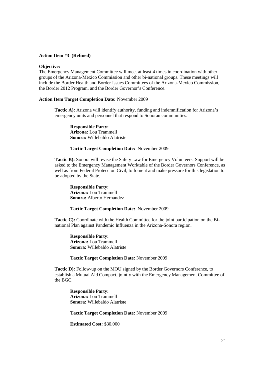### **Action Item #3 (Refined)**

# **Objective:**

The Emergency Management Committee will meet at least 4 times in coordination with other groups of the Arizona-Mexico Commission and other bi-national groups. These meetings will include the Border Health and Border Issues Committees of the Arizona-Mexico Commission, the Border 2012 Program, and the Border Governor's Conference.

### **Action Item Target Completion Date:** November 2009

**Tactic A):** Arizona will identify authority, funding and indemnification for Arizona's emergency units and personnel that respond to Sonoran communities.

**Responsible Party: Arizona:** Lou Trammell **Sonora:** Willebaldo Alatriste

# **Tactic Target Completion Date:** November 2009

**Tactic B):** Sonora will revise the Safety Law for Emergency Volunteers. Support will be asked to the Emergency Management Worktable of the Border Governors Conference, as well as from Federal Proteccion Civil, to foment and make pressure for this legislation to be adopted by the State.

**Responsible Party: Arizona:** Lou Trammell **Sonora:** Alberto Hernandez

### **Tactic Target Completion Date:** November 2009

**Tactic C):** Coordinate with the Health Committee for the joint participation on the Binational Plan against Pandemic Influenza in the Arizona-Sonora region.

**Responsible Party: Arizona:** Lou Trammell **Sonora:** Willebaldo Alatriste

### **Tactic Target Completion Date:** November 2009

**Tactic D):** Follow-up on the MOU signed by the Border Governors Conference, to establish a Mutual Aid Compact, jointly with the Emergency Management Committee of the BGC.

**Responsible Party: Arizona:** Lou Trammell **Sonora:** Willebaldo Alatriste

**Tactic Target Completion Date:** November 2009

**Estimated Cost:** \$30,000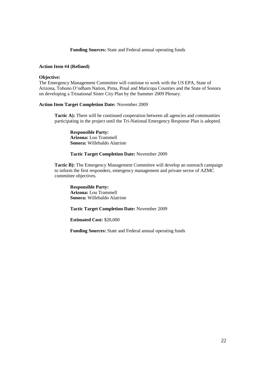**Funding Sources:** State and Federal annual operating funds

# **Action Item #4 (Refined)**

# **Objective:**

The Emergency Management Committee will continue to work with the US EPA, State of Arizona, Tohono O'odham Nation, Pima, Pinal and Maricopa Counties and the State of Sonora on developing a Trinational Sister City Plan by the Summer 2009 Plenary.

# **Action Item Target Completion Date:** November 2009

**Tactic A):** There will be continued cooperation between all agencies and communities participating in the project until the Tri-National Emergency Response Plan is adopted.

**Responsible Party: Arizona:** Lou Trammell **Sonora:** Willebaldo Alatriste

# **Tactic Target Completion Date:** November 2009

**Tactic B):** The Emergency Management Committee will develop an outreach campaign to inform the first responders, emergency management and private sector of AZMC committee objectives.

**Responsible Party: Arizona:** Lou Trammell **Sonora:** Willebaldo Alatriste

**Tactic Target Completion Date:** November 2009

**Estimated Cost:** \$20,000

**Funding Sources:** State and Federal annual operating funds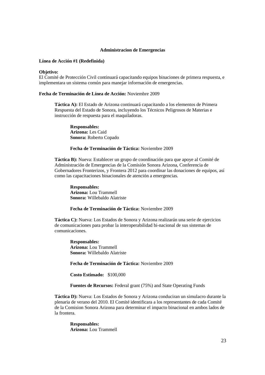### **Administracion de Emergencias**

### **Línea de Acción #1 (Redefinida)**

### **Objetivo:**

El Comité de Protección Civil continuará capacitando equipos binaciones de primera respuesta, e implementara un sistema común para manejar información de emergencias.

### **Fecha de Terminación de Línea de Acción:** Noviembre 2009

**Táctica A):** El Estado de Arizona continuará capacitando a los elementos de Primera Respuesta del Estado de Sonora, incluyendo los Técnicos Peligrosos de Materias e instrucción de respuesta para el maquiladoras.

**Responsables: Arizona:** Les Caid **Sonora:** Roberto Copado

# **Fecha de Terminación de Táctica:** Noviembre 2009

**Táctica B):** Nueva: Establecer un grupo de coordinación para que apoye al Comité de Administración de Emergencias de la Comisión Sonora Arizona, Conferencia de Gobernadores Fronterizos, y Frontera 2012 para coordinar las donaciones de equipos, así como las capacitaciones binacionales de atención a emergencias.

**Responsables: Arizona:** Lou Trammell **Sonora:** Willebaldo Alatriste

### **Fecha de Terminación de Táctica:** Noviembre 2009

**Táctica C):** Nueva: Los Estados de Sonora y Arizona realizarán una serie de ejercicios de comunicaciones para probar la interoperabilidad bi-nacional de sus sistemas de comunicaciones.

**Responsables: Arizona:** Lou Trammell **Sonora:** Willebaldo Alatriste

**Fecha de Terminación de Táctica:** Noviembre 2009

**Costo Estimado:** \$100,000

**Fuentes de Recursos:** Federal grant (75%) and State Operating Funds

**Táctica D):** Nueva: Los Estados de Sonora y Arizona conduciran un simulacro durante la plenaria de verano del 2010. El Comité identificara a los representantes de cada Comité de la Comision Sonora Arizona para determinar el impacto binacional en ambos lados de la frontera.

**Responsables: Arizona:** Lou Trammell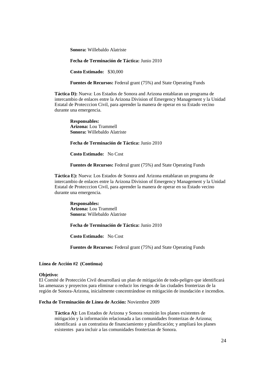**Sonora:** Willebaldo Alatriste

**Fecha de Terminación de Táctica:** Junio 2010

**Costo Estimado:** \$30,000

**Fuentes de Recursos:** Federal grant (75%) and State Operating Funds

**Táctica D):** Nueva: Los Estados de Sonora and Arizona entablaran un programa de intercambio de enlaces entre la Arizona Division of Emergency Management y la Unidad Estatal de Protecccion Civil, para aprender la manera de operar en su Estado vecino durante una emergencia.

**Responsables: Arizona:** Lou Trammell **Sonora:** Willebaldo Alatriste

**Fecha de Terminación de Táctica:** Junio 2010

**Costo Estimado:** No Cost

**Fuentes de Recursos:** Federal grant (75%) and State Operating Funds

**Táctica E):** Nueva: Los Estados de Sonora and Arizona entablaran un programa de intercambio de enlaces entre la Arizona Division of Emergency Management y la Unidad Estatal de Protecccion Civil, para aprender la manera de operar en su Estado vecino durante una emergencia.

**Responsables: Arizona:** Lou Trammell **Sonora:** Willebaldo Alatriste

**Fecha de Terminación de Táctica:** Junio 2010

**Costo Estimado:** No Cost

**Fuentes de Recursos:** Federal grant (75%) and State Operating Funds

### **Línea de Acción #2 (Continua)**

### **Objetivo:**

El Comité de Protección Civil desarrollará un plan de mitigación de todo-peligro que identificará las amenazas y proyectos para eliminar o reducir los riesgos de las ciudades fronterizas de la región de Sonora-Arizona, inicialmente concentrándose en mitigación de inundación e incendios.

# **Fecha de Terminación de Línea de Acción:** Noviembre 2009

**Táctica A):** Los Estados de Arizona y Sonora reunirán los planes existentes de mitigación y la información relacionada a las comunidades fronterizas de Arizona; identificará a un contratista de financiamiento y planificación; y ampliará los planes existentes para incluir a las comunidades fronterizas de Sonora.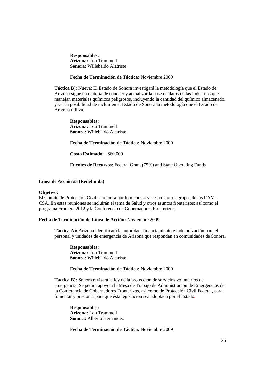**Responsables: Arizona:** Lou Trammell **Sonora:** Willebaldo Alatriste

**Fecha de Terminación de Táctica:** Noviembre 2009

**Táctica B):** Nueva: El Estado de Sonora investigará la metodología que el Estado de Arizona sigue en materia de conocer y actualizar la base de datos de las industrias que manejan materiales químicos peligrosos, incluyendo la cantidad del químico almacenado, y ver la posibilidad de incluir en el Estado de Sonora la metodología que el Estado de Arizona utiliza.

**Responsables: Arizona:** Lou Trammell **Sonora:** Willebaldo Alatriste

**Fecha de Terminación de Táctica:** Noviembre 2009

**Costo Estimado:** \$60,000

**Fuentes de Recursos:** Federal Grant (75%) and State Operating Funds

### **Línea de Acción #3 (Redefinida)**

### **Objetivo:**

El Comité de Protección Civil se reunirá por lo menos 4 veces con otros grupos de las CAM-CSA. En estas reuniones se incluirán el tema de Salud y otros asuntos fronterizos; así como el programa Frontera 2012 y la Conferencia de Gobernadores Fronterizos.

# **Fecha de Terminación de Línea de Acción:** Noviembre 2009

**Táctica A):** Arizona identificará la autoridad, financiamiento e indemnización para el personal y unidades de emergencia de Arizona que respondan en comunidades de Sonora.

**Responsables: Arizona:** Lou Trammell **Sonora:** Willebaldo Alatriste

# **Fecha de Terminación de Táctica:** Noviembre 2009

**Táctica B):** Sonora revisará la ley de la protección de servicios voluntarios de emergencia. Se pedirá apoyo a la Mesa de Trabajo de Administración de Emergencias de la Conferencia de Gobernadores Fronterizos, así como de Protección Civil Federal, para fomentar y presionar para que ésta legislación sea adoptada por el Estado.

**Responsables: Arizona:** Lou Trammell **Sonora:** Alberto Hernandez

**Fecha de Terminación de Táctica:** Noviembre 2009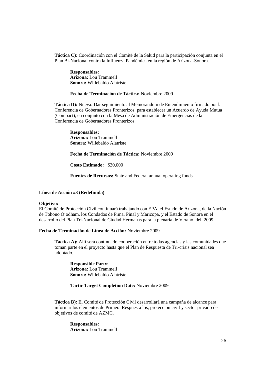**Táctica C):** Coordinación con el Comité de la Salud para la participación conjunta en el Plan Bi-Nacional contra la Influenza Pandémica en la región de Arizona-Sonora.

**Responsables: Arizona:** Lou Trammell **Sonora:** Willebaldo Alatriste

### **Fecha de Terminación de Táctica:** Noviembre 2009

**Táctica D):** Nueva: Dar seguimiento al Memorandum de Entendimiento firmado por la Conferencia de Gobernadores Fronterizos, para establecer un Acuerdo de Ayuda Mutua (Compact), en conjunto con la Mesa de Administración de Emergencias de la Conferencia de Gobernadores Fronterizos.

**Responsables: Arizona:** Lou Trammell **Sonora:** Willebaldo Alatriste

**Fecha de Terminación de Táctica:** Noviembre 2009

**Costo Estimado:** \$30,000

**Fuentes de Recursos:** State and Federal annual operating funds

### **Línea de Acción #3 (Redefinida)**

### **Objetivo:**

El Comité de Protección Civil continuará trabajando con EPA, el Estado de Arizona, de la Nación de Tohono O'odham, los Condados de Pima, Pinal y Maricopa, y el Estado de Sonora en el desarrollo del Plan Tri-Nacional de Ciudad Hermanas para la plenaria de Verano del 2009.

### **Fecha de Terminación de Línea de Acción:** Noviembre 2009

**Táctica A):** Allí será continuado cooperación entre todas agencias y las comunidades que toman parte en el proyecto hasta que el Plan de Respuesta de Tri-crisis nacional sea adoptado.

**Responsible Party: Arizona:** Lou Trammell **Sonora:** Willebaldo Alatriste

# **Tactic Target Completion Date:** Noviembre 2009

**Táctica B):** El Comité de Protección Civil desarrollará una campaña de alcance para informar los elementos de Primera Respuesta los, proteccion civil y sector privado de objetivos de comité de AZMC.

**Responsables: Arizona:** Lou Trammell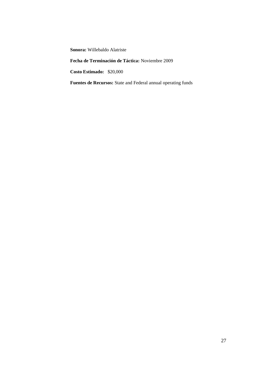**Sonora:** Willebaldo Alatriste

**Fecha de Terminación de Táctica:** Noviembre 2009

**Costo Estimado:** \$20,000

**Fuentes de Recursos:** State and Federal annual operating funds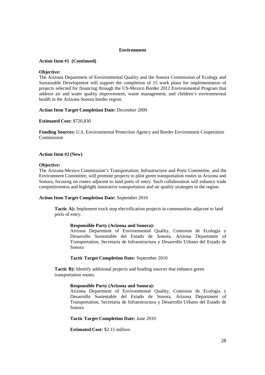# **Environment**

# **Action Item #1 (Continued)**

# **Objective:**

The Arizona Department of Environmental Quality and the Sonora Commission of Ecology and Sustainable Development will support the completion of 15 work plans for implementation of projects selected for financing through the US-Mexico Border 2012 Environmental Program that address air and water quality improvement, waste management, and children's environmental health in the Arizona-Sonora border region.

# **Action Item Target Completion Date:** December 2009

# **Estimated Cost:** \$720,830

**Funding Sources:** U.S. Environmental Protection Agency and Border Environment Cooperation Commission

# **Action Item #2 (New)**

# **Objective:**

The Arizona-Mexico Commission's Transportation, Infrastructure and Ports Committee, and the Environment Committee, will promote projects to pilot green transportation routes in Arizona and Sonora, focusing on routes adjacent to land ports of entry. Such collaboration will enhance trade competitiveness and highlight innovative transportation and air quality strategies in the region.

# **Action Item Target Completion Date:** September 2010

**Tactic A):** Implement truck stop electrification projects in communities adjacent to land ports of entry.

# **Responsible Party (Arizona and Sonora):**

Arizona Department of Environmental Quality, Comision de Ecologia y Desarrollo Sustentable del Estado de Sonora, Arizona Department of Transportation, Secretaria de Infraestructura y Desarrollo Urbano del Estado de Sonora

# **Tactic Target Completion Date:** September 2010

**Tactic B):** Identify additional projects and funding sources that enhance green transportation routes.

# **Responsible Party (Arizona and Sonora):**

Arizona Department of Environmental Quality, Comision de Ecologia y Desarrollo Sustentable del Estado de Sonora, Arizona Department of Transportation, Secretaria de Infraestructura y Desarrollo Urbano del Estado de Sonora

# **Tactic Target Completion Date:** June 2010

**Estimated Cost:** \$2.15 million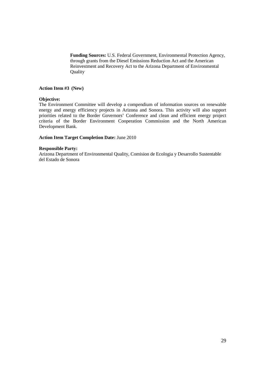**Funding Sources:** U.S. Federal Government, Environmental Protection Agency, through grants from the Diesel Emissions Reduction Act and the American Reinvestment and Recovery Act to the Arizona Department of Environmental Quality

# **Action Item #3 (New)**

# **Objective:**

The Environment Committee will develop a compendium of information sources on renewable energy and energy efficiency projects in Arizona and Sonora. This activity will also support priorities related to the Border Governors' Conference and clean and efficient energy project criteria of the Border Environment Cooperation Commission and the North American Development Bank.

# **Action Item Target Completion Date:** June 2010

# **Responsible Party:**

Arizona Department of Environmental Quality, Comision de Ecologia y Desarrollo Sustentable del Estado de Sonora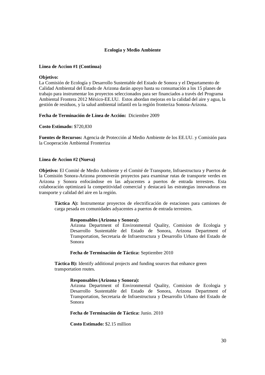# **Ecologia y Medio Ambiente**

# **Linea de Accion #1 (Continua)**

### **Objetivo:**

La Comisión de Ecología y Desarrollo Sustentable del Estado de Sonora y el Departamento de Calidad Ambiental del Estado de Arizona darán apoyo hasta su consumación a los 15 planes de trabajo para instrumentar los proyectos seleccionados para ser financiados a través del Programa Ambiental Frontera 2012 México-EE.UU. Estos abordan mejoras en la calidad del aire y agua, la gestión de residuos, y la salud ambiental infantil en la región fronteriza Sonora-Arizona.

# **Fecha de Terminación de Línea de Acción:** Diciembre 2009

**Costo Estimado:** \$720,830

**Fuentes de Recursos:** Agencia de Protección al Medio Ambiente de los EE.UU. y Comisión para la Cooperación Ambiental Fronteriza

### **Linea de Accion #2 (Nueva)**

**Objetivo:** El Comité de Medio Ambiente y el Comité de Transporte, Infraestructura y Puertos de la Comisión Sonora-Arizona promoverán proyectos para examinar rutas de transporte verdes en Arizona y Sonora enfocándose en las adyacentes a puertos de entrada terrestres. Esta colaboración optimizará la competitividad comercial y destacará las estrategias innovadoras en transporte y calidad del aire en la región.

**Táctica A):** Instrumentar proyectos de electrificación de estaciones para camiones de carga pesada en comunidades adyacentes a puertos de entrada terrestres.

### **Responsables (Arizona y Sonora):**

Arizona Department of Environmental Quality, Comision de Ecologia y Desarrollo Sustentable del Estado de Sonora, Arizona Department of Transportation, Secretaria de Infraestructura y Desarrollo Urbano del Estado de Sonora

### **Fecha de Terminación de Táctica:** Septiembre 2010

**Táctica B):** Identify additional projects and funding sources that enhance green transportation routes.

### **Responsables (Arizona y Sonora):**

Arizona Department of Environmental Quality, Comision de Ecologia y Desarrollo Sustentable del Estado de Sonora, Arizona Department of Transportation, Secretaria de Infraestructura y Desarrollo Urbano del Estado de Sonora

**Fecha de Terminación de Táctica:** Junio. 2010

**Costo Estimado:** \$2.15 million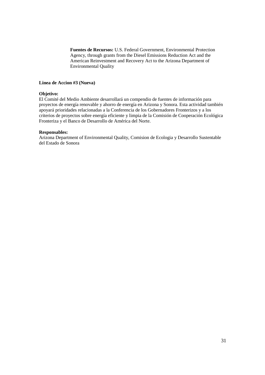**Fuentes de Recursos:** U.S. Federal Government, Environmental Protection Agency, through grants from the Diesel Emissions Reduction Act and the American Reinvestment and Recovery Act to the Arizona Department of Environmental Quality

# **Linea de Accion #3 (Nueva)**

# **Objetivo:**

El Comité del Medio Ambiente desarrollará un compendio de fuentes de información para proyectos de energía renovable y ahorro de energía en Arizona y Sonora. Esta actividad también apoyará prioridades relacionadas a la Conferencia de los Gobernadores Fronterizos y a los criterios de proyectos sobre energía eficiente y limpia de la Comisión de Cooperación Ecológica Fronteriza y el Banco de Desarrollo de América del Norte.

# **Responsables:**

Arizona Department of Environmental Quality, Comision de Ecologia y Desarrollo Sustentable del Estado de Sonora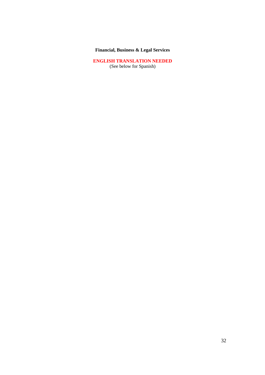# **Financial, Business & Legal Services**

**ENGLISH TRANSLATION NEEDED** (See below for Spanish)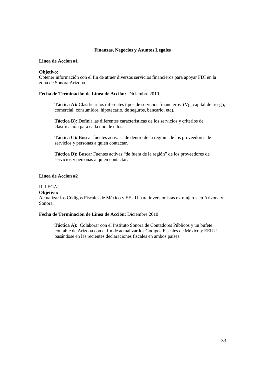### **Finanzas, Negocios y Asuntos Legales**

# **Linea de Accion #1**

# **Objetivo:**

Obtener información con el fin de atraer diversos servicios financieros para apoyar FDI en la zona de Sonora Arizona.

# **Fecha de Terminación de Línea de Acción:** Diciembre 2010

**Táctica A):** Clasificar los diferentes tipos de servicios financieros (Vg. capital de riesgo, comercial, consumidor, hipotecario, de seguros, bancario, etc).

**Táctica B):** Definir las diferentes características de los servicios y criterios de clasificación para cada uno de ellos.

**Táctica C):** Buscar fuentes activas "de dentro de la región" de los proveedores de servicios y personas a quien contactar.

**Táctica D):** Buscar Fuentes activas "de fuera de la región" de los proveedores de servicios y personas a quien contactar.

# **Linea de Accion #2**

# II. LEGAL

# **Objetivo:**

Actualizar los Códigos Fiscales de México y EEUU para inversionistas extranjeros en Arizona y Sonora.

# **Fecha de Terminación de Línea de Acción:** Diciembre 2010

**Táctica A):** Colaborar con el Instituto Sonora de Contadores Públicos y un bufete contable de Arizona con el fin de actualizar los Códigos Fiscales de México y EEUU basándose en las recientes declaraciones fiscales en ambos países.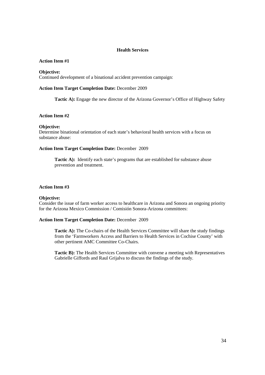# **Health Services**

# **Action Item #1**

### **Objective:**

Continued development of a binational accident prevention campaign:

# **Action Item Target Completion Date:** December 2009

**Tactic A):** Engage the new director of the Arizona Governor's Office of Highway Safety

# **Action Item #2**

### **Objective:**

Determine binational orientation of each state's behavioral health services with a focus on substance abuse:

# **Action Item Target Completion Date:** December 2009

**Tactic A):** Identify each state's programs that are established for substance abuse prevention and treatment.

### **Action Item #3**

### **Objective:**

Consider the issue of farm worker access to healthcare in Arizona and Sonora an ongoing priority for the Arizona Mexico Commission / Comisión Sonora-Arizona committees:

### **Action Item Target Completion Date:** December 2009

**Tactic A):** The Co-chairs of the Health Services Committee will share the study findings from the 'Farmworkers Access and Barriers to Health Services in Cochise County' with other pertinent AMC Committee Co-Chairs.

**Tactic B):** The Health Services Committee with convene a meeting with Representatives Gabrielle Giffords and Raul Grijalva to discuss the findings of the study.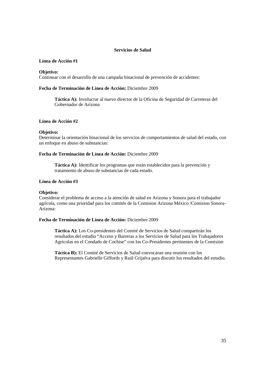# **Servicios de Salud**

# **Línea de Acción #1**

# **Objetivo:**

Continuar con el desarrollo de una campaña binacional de prevención de accidentes:

# **Fecha de Terminación de Línea de Acción:** Diciembre 2009

**Táctica A):** Involucrar al nuevo director de la Oficina de Seguridad de Carreteras del Gobernador de Arizona

# **Línea de Acción #2**

# **Objetivo:**

Determinar la orientación binacional de los servicios de comportamientos de salud del estado, con un enfoque en abuso de substancias:

# **Fecha de Terminación de Línea de Acción:** Diciembre 2009

**Táctica A):** Identificar los programas que están establecidos para la prevención y tratamiento de abuso de substancias de cada estado.

# **Línea de Acción #3**

# **Objetivo:**

Considerar el problema de acceso a la atención de salud en Arizona y Sonora para el trabajador agrícola, como una prioridad para los comités de la Comision Arizona México /Comision Sonora-Arizona:

# **Fecha de Terminación de Línea de Acción:** Diciembre 2009

**Táctica A):** Los Co-presidentes del Comité de Servicios de Salud compartirán los resultados del estudio "Acceso y Barreras a los Servicios de Salud para los Trabajadores Agrícolas en el Condado de Cochise" con los Co-Presidentes pertinentes de la Comision

**Táctica B):** El Comité de Servicios de Salud convocaran una reunión con los Representantes Gabrielle Giffords y Raúl Grijalva para discutir los resultados del estudio.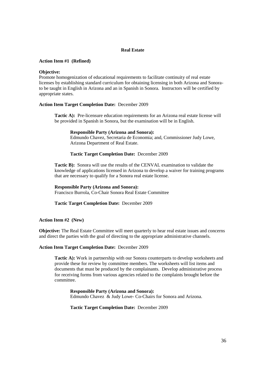# **Real Estate**

# **Action Item #1 (Refined)**

# **Objective:**

Promote homogenization of educational requirements to facilitate continuity of real estate licenses by establishing standard curriculum for obtaining licensing in both Arizona and Sonorato be taught in English in Arizona and an in Spanish in Sonora. Instructors will be certified by appropriate states.

# **Action Item Target Completion Date:** December 2009

**Tactic A):** Pre-licensure education requirements for an Arizona real estate license will be provided in Spanish in Sonora, but the examination will be in English.

# **Responsible Party (Arizona and Sonora):** Edmundo Chavez, Secretaria de Economia; and, Commissioner Judy Lowe, Arizona Department of Real Estate.

# **Tactic Target Completion Date:** December 2009

**Tactic B):** Sonora will use the results of the CENVAL examination to validate the knowledge of applications licensed in Arizona to develop a waiver for training programs that are necessary to qualify for a Sonora real estate license.

**Responsible Party (Arizona and Sonora):** Francisco Burrola, Co-Chair Sonora Real Estate Committee

# **Tactic Target Completion Date:** December 2009

# **Action Item #2 (New)**

**Objective:** The Real Estate Committee will meet quarterly to hear real estate issues and concerns and direct the parties with the goal of directing to the appropriate administrative channels.

# **Action Item Target Completion Date:** December 2009

**Tactic A):** Work in partnership with our Sonora counterparts to develop worksheets and provide these for review by committee members. The worksheets will list items and documents that must be produced by the complainants. Develop administrative process for receiving forms from various agencies related to the complaints brought before the committee.

**Responsible Party (Arizona and Sonora):** Edmundo Chavez & Judy Lowe- Co-Chairs for Sonora and Arizona.

**Tactic Target Completion Date:** December 2009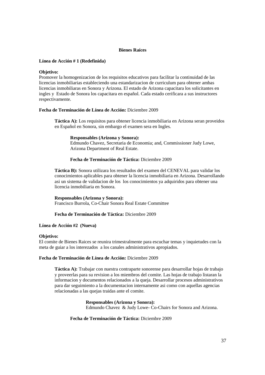# **Bienes Raíces**

# **Línea de Acción # 1 (Redefinida)**

# **Objetivo:**

Promover la homogenizacion de los requisitos educativos para facilitar la continuidad de las licencias inmobiliarias estableciendo una estandarizacion de curriculum para obtener ambas licencias inmobiliaras en Sonora y Arizona. El estado de Arizona capacitara los solicitantes en ingles y Estado de Sonora los capacitara en español. Cada estado cerificara a sus instructores respectivamente.

# **Fecha de Terminación de Línea de Acción:** Diciembre 2009

**Táctica A):** Los requisitos para obtener licencia inmobiliaria en Arizona seran proveidos en Español en Sonora, sin embargo el examen sera en Ingles.

# **Responsables (Arizona y Sonora):**

Edmundo Chavez, Secretaria de Economia; and, Commissioner Judy Lowe, Arizona Department of Real Estate.

# **Fecha de Terminación de Táctica:** Diciembre 2009

**Táctica B):** Sonora utilizara los resultados del examen del CENEVAL para validar los conocimientos aplicables para obtener la licencia inmobiliaria en Arizona. Desarrollando asi un sistema de validacion de los los conocimientos ya adquiridos para obtener una licencia inmobiliaria en Sonora.

**Responsables (Arizona y Sonora):** Francisco Burrola, Co-Chair Sonora Real Estate Committee

# **Fecha de Terminación de Táctica:** Diciembre 2009

# **Línea de Acción #2 (Nueva)**

# **Objetivo:**

El comite de Bienes Raices se reunira trimestralmente para escuchar temas y inquietudes con la meta de guiar a los interezados a los canales administrativos apropiados.

# **Fecha de Terminación de Línea de Acción:** Diciembre 2009

**Táctica A):** Trabajar con nuestra contraparte sonorense para desarrollar hojas de trabajo y proveerlas para su revision a los miembros del comite. Las hojas de trabajo listaran la informacion y documentos relacionados a la queja. Desarrollar procesos administrativos para dar seguimiento a la documentacion internamente asi como con aquellas agencias relacionadas a las quejas traidas ante el comite.

# **Responsables (Arizona y Sonora):**

Edmundo Chavez & Judy Lowe- Co-Chairs for Sonora and Arizona.

# **Fecha de Terminación de Táctica:** Diciembre 2009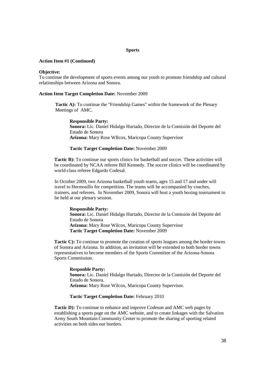### **Sports**

### **Action Item #1 (Continued)**

### **Objective:**

To continue the development of sports events among our youth to promote friendship and cultural relationships between Arizona and Sonora.

# **Action Item Target Completion Date:** November 2009

**Tactic A):** To continue the "Friendship Games" within the framework of the Plenary Meetings of AMC.

**Responsible Party: Sonora:** Lic. Daniel Hidalgo Hurtado, Director de la Comisión del Deporte del Estado de Sonora **Arizona:** Mary Rose WIlcox, Maricopa County Supervisor

# **Tactic Target Completion Date:** November 2009

**Tactic B):** To continue our sports clinics for basketball and soccer. These activities will be coordinated by NCAA referee Bill Kennedy. The soccer clinics will be coordinated by world-class referee Edgardo Codesal.

In October 2009, two Arizona basketball youth teams, ages 15 and 17 and under will travel to Hermosillo for competition. The teams will be accompanied by coaches, trainers, and referees. In November 2009, Sonora will host a youth boxing tournament to be held at our plenary session.

**Responsible Party: Sonora:** Lic. Daniel Hidalgo Hurtado, Director de la Comisión del Deporte del Estado de Sonora **Arizona:** Mary Rose Wilcox, Maricopa County Supervisor **Tactic Target Completion Date:** November 2009

**Tactic C):** To continue to promote the creation of sports leagues among the border towns of Sonora and Arizona. In addition, an invitation will be extended to both border towns representatives to become members of the Sports Committee of the Arizona-Sonora Sports Commission.

**Responble Party: Sonora:** Lic. Daniel Hidalgo Hurtado, Director de la Comisión del Deporte del Estado de Sonora. **Arizona:** Mary Rose Wilcox, Maricopa County Supervisor.

### **Tactic Target Completion Date:** February 2010

**Tactic D):** To continue to enhance and improve Codeson and AMC web pages by establishing a sports page on the AMC website, and to create linkages with the Salvation Army South Mountain Community Center to promote the sharing of sporting related activities on both sides our borders.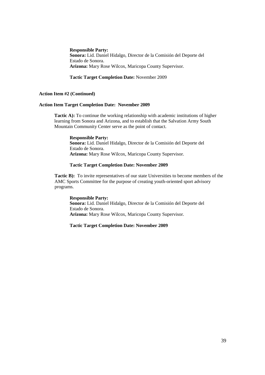**Responsible Party: Sonora:** Lid. Daniel Hidalgo, Director de la Comisión del Deporte del Estado de Sonora. **Arizona:** Mary Rose Wilcox, Maricopa County Supervisor.

# **Tactic Target Completion Date:** November 2009

# **Action Item #2 (Continued)**

# **Action Item Target Completion Date: November 2009**

**Tactic A):** To continue the working relationship with academic institutions of higher learning from Sonora and Arizona, and to establish that the Salvation Army South Mountain Community Center serve as the point of contact.

# **Responsible Party: Sonora:** Lid. Daniel Hidalgo, Director de la Comisión del Deporte del Estado de Sonora.

**Arizona:** Mary Rose Wilcox, Maricopa County Supervisor.

# **Tactic Target Completion Date: November 2009**

**Tactic B):** To invite representatives of our state Universities to become members of the AMC Sports Committee for the purpose of creating youth-oriented sport advisory programs.

# **Responsible Party: Sonora:** Lid. Daniel Hidalgo, Director de la Comisión del Deporte del Estado de Sonora. **Arizona:** Mary Rose Wilcox, Maricopa County Supervisor.

# **Tactic Target Completion Date: November 2009**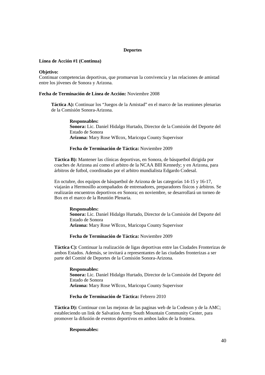### **Deportes**

### **Línea de Acción #1 (Continua)**

### **Objetivo:**

Continuar competencias deportivas, que promuevan la convivencia y las relaciones de amistad entre los jóvenes de Sonora y Arizona.

### **Fecha de Terminación de Línea de Acción:** Noviembre 2008

**Táctica A):** Continuar los "Juegos de la Amistad" en el marco de las reuniones plenarias de la Comisión Sonora-Arizona.

### **Responsables:**

**Sonora:** Lic. Daniel Hidalgo Hurtado, Director de la Comisión del Deporte del Estado de Sonora **Arizona:** Mary Rose WIlcox, Maricopa County Supervisor

# **Fecha de Terminación de Táctica:** Noviembre 2009

**Táctica B):** Mantener las clínicas deportivas, en Sonora, de básquetbol dirigida por coaches de Arizona así como el arbitro de la NCAA BIll Kennedy; y en Arizona, para árbitros de futbol, coordinadas por el arbitro mundialista Edgardo Codesal.

En octubre, dos equipos de básquetbol de Arizona de las categorías 14-15 y 16-17, viajarán a Hermosillo acompañados de entrenadores, preparadores físicos y árbitros. Se realizarán encuentros deportivos en Sonora; en noviembre, se desarrollará un torneo de Box en el marco de la Reunión Plenaria.

# **Responsables:**

**Sonora:** Lic. Daniel Hidalgo Hurtado, Director de la Comisión del Deporte del Estado de Sonora **Arizona:** Mary Rose WIlcox, Maricopa County Supervisor

# **Fecha de Terminación de Táctica:** Noviembre 2009

**Táctica C):** Continuar la realización de ligas deportivas entre las Ciudades Fronterizas de ambos Estados. Además, se invitará a representantes de las ciudades fronterizas a ser parte del Comité de Deportes de la Comisión Sonora-Arizona.

**Responsables: Sonora:** Lic. Daniel Hidalgo Hurtado, Director de la Comisión del Deporte del Estado de Sonora **Arizona:** Mary Rose WIlcox, Maricopa County Supervisor

# **Fecha de Terminación de Táctica:** Febrero 2010

**Táctica D):** Continuar con las mejoras de las paginas web de la Codeson y de la AMC; estableciendo un link de Salvation Army South Mountain Community Center, para promover la difusión de eventos deportivos en ambos lados de la frontera.

### **Responsables:**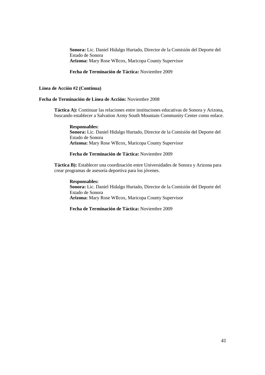**Sonora:** Lic. Daniel Hidalgo Hurtado, Director de la Comisión del Deporte del Estado de Sonora **Arizona:** Mary Rose WIlcox, Maricopa County Supervisor

**Fecha de Terminación de Táctica:** Noviembre 2009

# **Línea de Acción #2 (Continua)**

# **Fecha de Terminación de Línea de Acción:** Noviembre 2008

**Táctica A):** Continuar las relaciones entre instituciones educativas de Sonora y Arizona, buscando establecer a Salvation Army South Mountain Community Center como enlace.

**Responsables: Sonora:** Lic. Daniel Hidalgo Hurtado, Director de la Comisión del Deporte del Estado de Sonora **Arizona:** Mary Rose WIlcox, Maricopa County Supervisor

# **Fecha de Terminación de Táctica:** Noviembre 2009

**Táctica B):** Establecer una coordinación entre Universidades de Sonora y Arizona para crear programas de asesoría deportiva para los jóvenes.

### **Responsables:**

**Sonora:** Lic. Daniel Hidalgo Hurtado, Director de la Comisión del Deporte del Estado de Sonora **Arizona:** Mary Rose WIlcox, Maricopa County Supervisor

**Fecha de Terminación de Táctica:** Noviembre 2009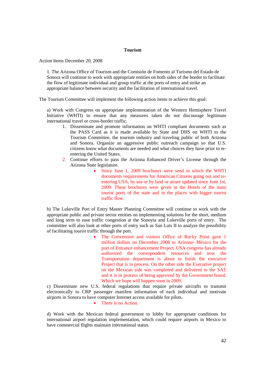### **Tourism**

Action Items December 20, 2008

1. The Arizona Office of Tourism and the Comisión de Fomento al Turismo del Estado de Sonora will continue to work with appropriate entities on both sides of the border to facilitate the flow of legitimate individual and group traffic at the ports of entry and strike an appropriate balance between security and the facilitation of international travel.

The Tourism Committee will implement the following action items to achieve this goal:

a) Work with Congress on appropriate implementation of the Western Hemisphere Travel Initiative (WHTI) to ensure that any measures taken do not discourage legitimate international travel or cross-border traffic.

- 1. Disseminate and promote information on WHTI compliant documents such as the PASS Card as it is made available by State and DHS on WHTI to the Tourism Committee, the tourism industry and traveling public of both Arizona and Sonora. Organize an aggressive public outreach campaign so that U.S. citizens know what documents are needed and what choices they have prior to reentering the United States.
- 2. Continue efforts to pass the Arizona Enhanced Driver's License through the Arizona State legislature.
	- Since June 1, 2009 brochures were send in which the WHTI documents requirements for American Citizens going out and reentering USA, by sea or by land or airare updated since June 1st, 2009. These brochures were given in the Hotels of the main tourist ports of the state and in the places with bigger tourist traffic flow.

b) The Lukeville Port of Entry Master Planning Committee will continue to work with the appropriate public and private sector entities on implementing solutions for the short, medium and long term to ease traffic congestion at the Sonoyta and Lukeville ports of entry. The committee will also look at other ports of entry such as San Luis II to analyze the possibility of facilitating tourist traffic through the port.

> • The Convention and visitors Office of Rocky Point gave 1 million dollars on December 2008 to Arizona- México for the port of Entrance enhancement Project. USA congress has already authorized the correspondent resources and now the Transportation department is about to finish the executive Project that is in process. On the other side the Executive project on the Mexican side was completed and delivered to the SAT and it is in process of being approved by the Government board. Which we hope will happen soon in 2009.

c) Disseminate new U.S. federal regulations that require private aircrafts to transmit electronically to CBP passenger manifest information of each individual and motivate airports in Sonora to have computer Internet access available for pilots.

# • There is no Action.

d) Work with the Mexican federal government to lobby for appropriate conditions for international airport regulation implementation, which could require airports in Mexico to have commercial flights maintain international status.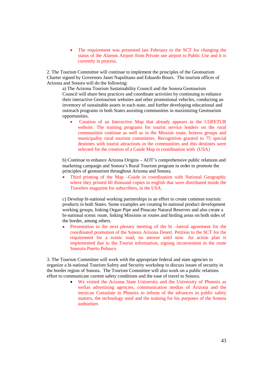The requirement was presented last February to the SCT for changing the status of the Alamos Airport from Private use airport to Public Use and it is currently in process.

2. The Tourism Committee will continue to implement the principles of the Geotourism Charter signed by Governors Janet Napolitano and Eduardo Bours. The tourism offices of Arizona and Sonora will do the following:

a) The Arizona Tourism Sustainability Council and the Sonora Geotourism Council will share best practices and coordinate activities by continuing to enhance their interactive Geotourism websites and other promotional vehicles, conducting an inventory of sustainable assets in each state, and further developing educational and outreach programs in both States assisting communities in maximizing Geotourism opportunities.

 Creation of an Interactive Map that already appears in the COFETUR website. The training programs for tourist service lenders on the rural communities continue as well as in the Mission route, hostess groups and municipality rural tourism committees. Recognition granted to 75 special destinies with tourist attractions in the communities and this destinies were selected for the creation of a Guide Map in coordination with (USA)

b) Continue to enhance Arizona Origins – AOT's comprehensive public relations and marketing campaign and Sonora's Rural Tourism program in order to promote the principles of geotourism throughout Arizona and Sonora.

• Third printing of the Map –Guide in coordination with National Geographic where they printed 60 thousand copies in english that were distributed inside the Travelers magazine for subscribers, in the USA.

c) Develop bi-national working partnerships in an effort to create common touristic products in both States. Some examples are creating bi-national product development working groups, linking Organ Pipe and Pinacate Natural Reserves and also create a bi-national scenic route, linking Missions or routes and birding areas on both sides of the border, among others.

 Presentation in the next plenary meeting of the bi –lateral agreement for the coordinated promotion of the Sonora Arizona Desert. Petition to the SCT for the requirement for a scenic road, no answer until now. An action plan is implemented due to the Tourist information, signing inconvenient in the route Sonoyta Puerto Peñasco

3. The Tourism Committee will work with the appropriate federal and state agencies to organize a bi-national Tourism Safety and Security workshop to discuss issues of security in the border region of Sonora. The Tourism Committee will also work on a public relations effort to communicate current safety conditions and the ease of travel to Sonora.

> We visited the Arizona State University and the University of Phoenix as wellas advertising agencies, communication medias of Arizona and the mexican Consulate in Phoenix to inform of the advances in public safety matters, the technology used and the training for his purposes of the Sonora authorities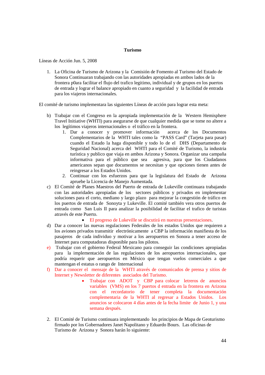### **Turismo**

Líneas de Acción Jun. 5, 2008

1. La Oficina de Turismo de Arizona y la Comisión de Fomento al Turismo del Estado de Sonora Continuaran trabajando con las autoridades apropiadas en ambos lados de la frontera p0ara facilitar el flujo del trafico legitimo, individual y de grupos en los puertos de entrada y lograr el balance apropiado en cuanto a seguridad y la facilidad de entrada para los viajeros internacionales.

El comité de turismo implementara las siguientes Líneas de acción para lograr esta meta:

- b) Trabajar con el Congreso en la apropiada implementación de la Western Hemisphere Travel Initiative (WHTI) para asegurarse de que cualquier medida que se tome no altere a los legítimos viajeros internacionales o el tráfico en la frontera.
	- 1. Dar a conocer y promover información acerca de los Documentos Complementarios de la WHTI tales como la "PASS Card" (Tarjeta para pasar) cuando el Estado la haga disponible y todo lo de el DHS (Departamento de Seguridad Nacional) acerca del WHTI para el Comité de Turismo, la industria turística y publico que viaja en ambos Arizona y Sonora. Organizar una campaña informativa para el público que sea agresiva, para que los Ciudadanos americanos sepan que documentos se necesitan y que opciones tienen antes de reingresar a los Estados Unidos.
	- 2. Continuar con los esfuerzos para que la legislatura del Estado de Arizona apruebe la Licencia de Manejo Aumentada.
- c) El Comité de Planes Maestros del Puerto de entrada de Lukeville continuara trabajando con las autoridades apropiadas de los sectores públicos y privados en implementar soluciones para el corto, mediano y largo plazo para mejorar la congestión de tráfico en los puertos de entrada de Sonoyta y Lukeville. El comité también vera otros puertos de entrada como San Luis II para analizar la posibilidad de facilitar el trafico de turistas através de este Puerto.

### El progreso de Lukeville se discutirá en nuestras presentaciones.

- d) Dar a conocer las nuevas regulaciones Federales de los estados Unidos que requieren a los aviones privados transmitir electrónicamente a CBP la información manifiesta de los pasajeros de cada individuo y motivar a los aeropuertos en Sonora a tener acceso de Internet para computadoras disponible para los pilotos.
- e) Trabajar con el gobierno Federal Mexicano para conseguir las condiciones apropiadas para la implementación de las regulaciones de los aeropuertos internacionales, que podría requerir que aeropuertos en México que tengan vuelos comerciales a que mantengan el estatus o rango de Internacional
- f) Dar a conocer el mensaje de la WHTI através de comunicados de prensa y sitios de Internet y Newsletter de diferentes asociados del Turismo.
	- Trabajar con ADOT y CBP para colocar letreros de anuncios variables (VMS) en los 7 puertos d entrada en la frontera en Arizona con el recordatorio de tener completa la documentación complementaria de la WHTI al regresar a Estados Unidos. Los anuncios se colocaron 4 días antes de la fecha limite de Junio 1, y una semana después.
- 2. El Comité de Turismo continuara implementando los principios de Mapa de Geoturismo firmado por los Gobernadores Janet Napolitano y Eduardo Bours. Las oficinas de Turismo de Arizona y Sonora harán lo siguiente: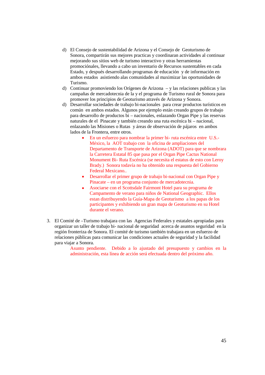- d) El Consejo de sustentabilidad de Arizona y el Consejo de Geoturismo de Sonora, compartirán sus mejores practicas y coordinaran actividades al continuar mejorando sus sitios web de turismo interactivo y otras herramientas promociónales, llevando a cabo un inventario de Recursos sustentables en cada Estado, y después desarrollando programas de educación y de información en ambos estados asistiendo alas comunidades al maximizar las oportunidades de Turismo.
- d) Continuar promoviendo los Orígenes de Arizona y las relaciones publicas y las campañas de mercadotecnia de la y el programa de Turismo rural de Sonora para promover los principios de Geoturismo através de Arizona y Sonora.
- d) Desarrollar sociedades de trabajo bi-nacionales para crear productos turísticos en común en ambos estados. Algunos por ejemplo están creando grupos de trabajo para desarrollo de productos bi – nacionales, enlazando Organ Pipe y las reservas naturales de el Pinacate y también creando una ruta escénica bi – nacional, enlazando las Misiones o Rutas y áreas de observación de pájaros en ambos lados de la Frontera, entre otros.
	- En un esfuerzo para nombrar la primer bi- ruta escénica entre U.S.- México, la AOT trabajo con la oficina de ampliaciones del Departamento de Transporte de Arizona (ADOT) para que se nombrara la Carretera Estatal 85 que pasa por el Organ Pipe Cactus National Monument Bi- Ruta Escénica (se necesita el estatus de esto con Leroy Brady.) Sonora todavía no ha obtenido una respuesta del Gobierno Federal Mexicano..
	- Desarrollar el primer grupo de trabajo bi-nacional con Organ Pipe y Pinacate – en un programa conjunto de mercadotecnia.
	- Asociarse con el Scottsdale Fairmont Hotel para su programa de Campamento de verano para niños de National Geographic. Ellos estan distribuyendo la Guía-Mapa de Geoturismo a los papas de los participantes y exhibiendo un gran mapa de Geoturismo en su Hotel durante el verano.
- 3. El Comité de –Turismo trabajara con las Agencias Federales y estatales apropiadas para organizar un taller de trabajo bi- nacional de seguridad acerca de asuntos seguridad en la región fronteriza de Sonora. El comité de turismo también trabajara en un esfuerzo de relaciones públicas para comunicar las condiciones actuales de seguridad y la facilidad para viajar a Sonora.

Asunto pendiente. Debido a lo ajustado del presupuesto y cambios en la administración, esta línea de acción será efectuada dentro del próximo año.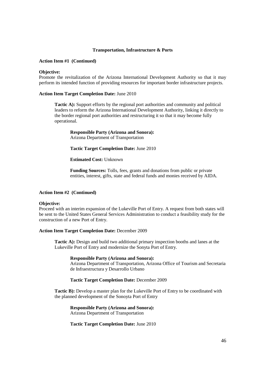### **Transportation, Infrastructure & Ports**

### **Action Item #1 (Continued)**

### **Objective:**

Promote the revitalization of the Arizona International Development Authority so that it may perform its intended function of providing resources for important border infrastructure projects.

# **Action Item Target Completion Date:** June 2010

**Tactic A):** Support efforts by the regional port authorities and community and political leaders to reform the Arizona International Development Authority, linking it directly to the border regional port authorities and restructuring it so that it may become fully operational.

**Responsible Party (Arizona and Sonora):** Arizona Department of Transportation

**Tactic Target Completion Date:** June 2010

**Estimated Cost:** Unknown

**Funding Sources:** Tolls, fees, grants and donations from public or private entities, interest, gifts, state and federal funds and monies received by AIDA.

### **Action Item #2 (Continued)**

### **Objective:**

Proceed with an interim expansion of the Lukeville Port of Entry. A request from both states will be sent to the United States General Services Administration to conduct a feasibility study for the construction of a new Port of Entry.

### **Action Item Target Completion Date:** December 2009

**Tactic A):** Design and build two additional primary inspection booths and lanes at the Lukeville Port of Entry and modernize the Sonyta Port of Entry.

### **Responsible Party (Arizona and Sonora):**

Arizona Department of Transportation, Arizona Office of Tourism and Secretaria de Infraestructura y Desarrollo Urbano

# **Tactic Target Completion Date:** December 2009

**Tactic B):** Develop a master plan for the Lukeville Port of Entry to be coordinated with the planned development of the Sonoyta Port of Entry

**Responsible Party (Arizona and Sonora):** Arizona Department of Transportation

**Tactic Target Completion Date:** June 2010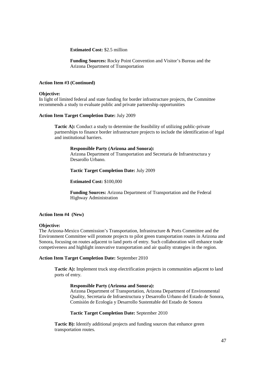**Estimated Cost:** \$2.5 million

**Funding Sources:** Rocky Point Convention and Visitor's Bureau and the Arizona Department of Transportation

# **Action Item #3 (Continued)**

### **Objective:**

In light of limited federal and state funding for border infrastructure projects, the Committee recommends a study to evaluate public and private partnership opportunities

# **Action Item Target Completion Date:** July 2009

**Tactic A):** Conduct a study to determine the feasibility of utilizing public-private partnerships to finance border infrastructure projects to include the identification of legal and institutional barriers.

### **Responsible Party (Arizona and Sonora):**

Arizona Department of Transportation and Secretaria de Infraestructura y Desarollo Urbano.

# **Tactic Target Completion Date:** July 2009

**Estimated Cost:** \$100,000

**Funding Sources:** Arizona Department of Transportation and the Federal Highway Administration

# **Action Item #4 (New)**

### **Objective:**

The Arizona-Mexico Commission's Transportation, Infrastructure & Ports Committee and the Environment Committee will promote projects to pilot green transportation routes in Arizona and Sonora, focusing on routes adjacent to land ports of entry. Such collaboration will enhance trade competiveness and highlight innovative transportation and air quality strategies in the region.

# **Action Item Target Completion Date:** September 2010

**Tactic A):** Implement truck stop electrification projects in communities adjacent to land ports of entry.

# **Responsible Party (Arizona and Sonora):**

Arizona Department of Transportation, Arizona Department of Environmental Quality, Secretaria de Infraestructura y Desarrollo Urbano del Estado de Sonora, Comisión de Ecología y Desarrollo Sustentable del Estado de Sonora

### **Tactic Target Completion Date:** September 2010

**Tactic B):** Identify additional projects and funding sources that enhance green transportation routes.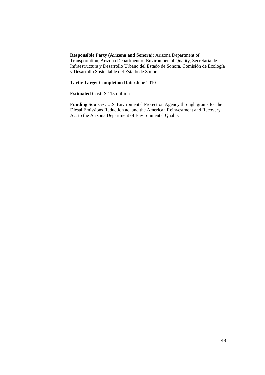**Responsible Party (Arizona and Sonora):** Arizona Department of Transportation, Arizona Department of Environmental Quality, Secretaria de Infraestructura y Desarrollo Urbano del Estado de Sonora, Comisión de Ecología y Desarrollo Sustentable del Estado de Sonora

**Tactic Target Completion Date:** June 2010

**Estimated Cost:** \$2.15 million

**Funding Sources:** U.S. Enviromental Protection Agency through grants for the Diesal Emissions Reduction act and the American Reinvestment and Recovery Act to the Arizona Department of Environmental Quality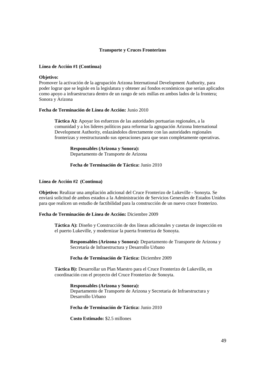# **Transporte y Cruces Fronterizos**

# **Línea de Acción #1 (Continua)**

### **Objetivo:**

Promover la activación de la agrupación Arizona International Development Authority, para poder lograr que se legisle en la legislatura y obtener así fondos económicos que serian aplicados como apoyo a infraestructura dentro de un rango de seis millas en ambos lados de la frontera; Sonora y Arizona

# **Fecha de Terminación de Línea de Acción:** Junio 2010

**Táctica A):** Apoyar los esfuerzos de las autoridades portuarias regionales, a la comunidad y a los lideres políticos para reformar la agrupación Arizona International Development Authority, enlazándolos directamente con las autoridades regionales fronterizas y reestructurando sus operaciones para que sean completamente operativas.

**Responsables (Arizona y Sonora):** Departamento de Transporte de Arizona

# **Fecha de Terminación de Táctica:** Junio 2010

### **Línea de Acción #2 (Continua)**

**Objetivo:** Realizar una ampliación adicional del Cruce Fronterizo de Lukeville - Sonoyta. Se enviará solicitud de ambos estados a la Administración de Servicios Generales de Estados Unidos para que realicen un estudio de factibilidad para la construcción de un nuevo cruce fronterizo.

# **Fecha de Terminación de Línea de Acción:** Diciembre 2009

**Táctica A):** Diseño y Construcción de dos líneas adicionales y casetas de inspección en el puerto Lukeville, y modernizar la puerta fronteriza de Sonoyta.

**Responsables (Arizona y Sonora):** Departamento de Transporte de Arizona y Secretaría de Infraestructura y Desarrollo Urbano

# **Fecha de Terminación de Táctica:** Diciembre 2009

**Táctica B):** Desarrollar un Plan Maestro para el Cruce Fronterizo de Lukeville, en coordinación con el proyecto del Cruce Fronterizo de Sonoyta.

### **Responsables (Arizona y Sonora):**

Departamento de Transporte de Arizona y Secretaria de Infraestructura y Desarrollo Urbano

**Fecha de Terminación de Táctica:** Junio 2010

**Costo Estimado:** \$2.5 millones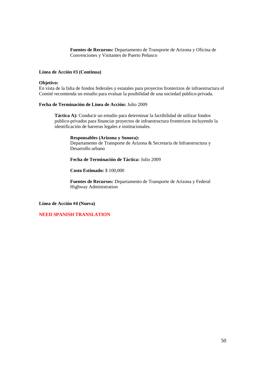**Fuentes de Recursos:** Departamento de Transporte de Arizona y Oficina de Convenciones y Visitantes de Puerto Peñasco

# **Línea de Acción #3 (Continua)**

# **Objetivo:**

En vista de la falta de fondos federales y estatales para proyectos fronterizos de infraestructura el Comité recomienda un estudio para evaluar la posibilidad de una sociedad publico-privada.

# **Fecha de Terminación de Línea de Acción:** Julio 2009

**Táctica A):** Conducir un estudio para determinar la factibilidad de utilizar fondos publico-privados para financiar proyectos de infraestructura fronterizos incluyendo la identificación de barreras legales e institucionales.

# **Responsables (Arizona y Sonora):**

Departamento de Transporte de Arizona & Secretaria de Infraestructura y Desarrollo urbano

# **Fecha de Terminación de Táctica:** Julio 2009

# **Costo Estimado:** \$ 100,000

**Fuentes de Recursos:** Departamento de Transporte de Arizona y Federal Highway Administration

# **Línea de Acción #4 (Nueva)**

# **NEED SPANISH TRANSLATION**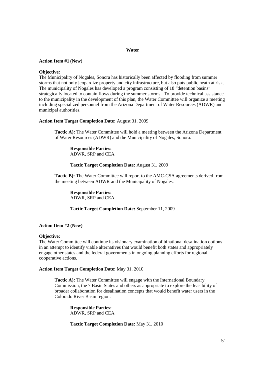# **Water**

# **Action Item #1 (New)**

### **Objective:**

The Municipality of Nogales, Sonora has historically been affected by flooding from summer storms that not only jeopardize property and city infrastructure, but also puts public heath at risk. The municipality of Nogales has developed a program consisting of 18 "detention basins" strategically located to contain flows during the summer storms. To provide technical assistance to the municipality in the development of this plan, the Water Committee will organize a meeting including specialized personnel from the Arizona Department of Water Resources (ADWR) and municipal authorities.

### **Action Item Target Completion Date:** August 31, 2009

**Tactic A):** The Water Committee will hold a meeting between the Arizona Department of Water Resources (ADWR) and the Municipality of Nogales, Sonora.

**Responsible Parties:** ADWR, SRP and CEA

**Tactic Target Completion Date:** August 31, 2009

**Tactic B):** The Water Committee will report to the AMC-CSA agreements derived from the meeting between ADWR and the Municipality of Nogales.

**Responsible Parties:** ADWR, SRP and CEA

**Tactic Target Completion Date:** September 11, 2009

### **Action Item #2 (New)**

### **Objective:**

The Water Committee will continue its visionary examination of binational desalination options in an attempt to identify viable alternatives that would benefit both states and appropriately engage other states and the federal governments in ongoing planning efforts for regional cooperative actions.

### **Action Item Target Completion Date:** May 31, 2010

**Tactic A):** The Water Committee will engage with the International Boundary Commission, the 7 Basin States and others as appropriate to explore the feasibility of broader collaboration for desalination concepts that would benefit water users in the Colorado River Basin region.

**Responsible Parties:** ADWR, SRP and CEA

**Tactic Target Completion Date:** May 31, 2010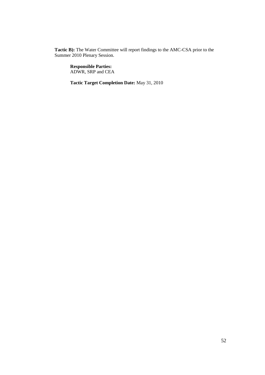**Tactic B):** The Water Committee will report findings to the AMC-CSA prior to the Summer 2010 Plenary Session.

**Responsible Parties:** ADWR, SRP and CEA

**Tactic Target Completion Date:** May 31, 2010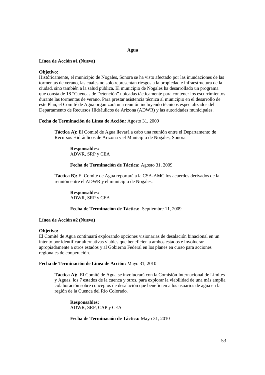### **Agua**

### **Línea de Acción #1 (Nueva)**

### **Objetivo:**

Históricamente, el municipio de Nogales, Sonora se ha visto afectado por las inundaciones de las tormentas de verano, las cuales no solo representan riesgos a la propiedad e infraestructura de la ciudad, sino también a la salud pública. El municipio de Nogales ha desarrollado un programa que consta de 18 "Cuencas de Detención" ubicadas tácticamente para contener los escurrimientos durante las tormentas de verano. Para prestar asistencia técnica al municipio en el desarrollo de este Plan, el Comité de Agua organizará una reunión incluyendo técnicos especializados del Departamento de Recursos Hidráulicos de Arizona (ADWR) y las autoridades municipales.

### **Fecha de Terminación de Línea de Acción:** Agosto 31, 2009

**Táctica A):** El Comité de Agua llevará a cabo una reunión entre el Departamento de Recursos Hidráulicos de Arizona y el Municipio de Nogales, Sonora.

**Responsables:** ADWR, SRP y CEA

**Fecha de Terminación de Táctica:** Agosto 31, 2009

**Táctica B):** El Comité de Agua reportará a la CSA-AMC los acuerdos derivados de la reunión entre el ADWR y el municipio de Nogales.

**Responsables:** ADWR, SRP y CEA

# **Fecha de Terminación de Táctica:** Septiembre 11, 2009

### **Línea de Acción #2 (Nueva)**

# **Objetivo:**

El Comité de Agua continuará explorando opciones visionarias de desalación binacional en un intento por identificar alternativas viables que beneficien a ambos estados e involucrar apropiadamente a otros estados y al Gobierno Federal en los planes en curso para acciones regionales de cooperación.

### **Fecha de Terminación de Línea de Acción:** Mayo 31, 2010

**Táctica A):** El Comité de Agua se involucrará con la Comisión Internacional de Límites y Aguas, los 7 estados de la cuenca y otros, para explorar la viabilidad de una más amplia colaboración sobre conceptos de desalación que beneficien a los usuarios de agua en la región de la Cuenca del Río Colorado.

**Responsables:** ADWR, SRP, CAP y CEA

**Fecha de Terminación de Táctica:** Mayo 31, 2010